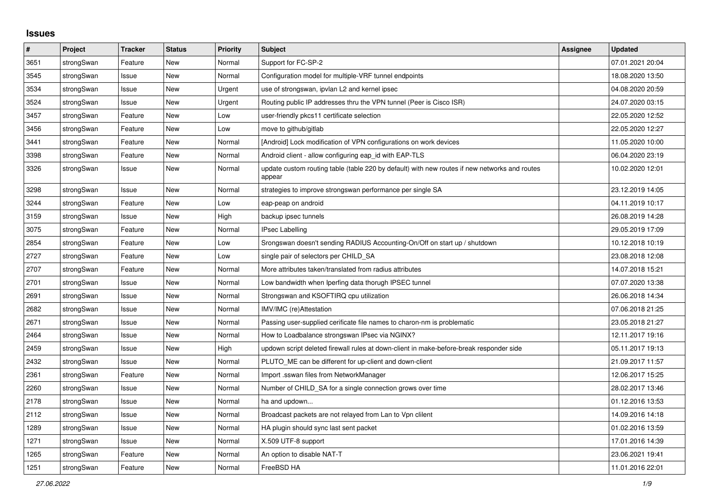## **Issues**

| #    | Project    | <b>Tracker</b> | <b>Status</b> | <b>Priority</b> | <b>Subject</b>                                                                                          | Assignee | <b>Updated</b>   |
|------|------------|----------------|---------------|-----------------|---------------------------------------------------------------------------------------------------------|----------|------------------|
| 3651 | strongSwan | Feature        | <b>New</b>    | Normal          | Support for FC-SP-2                                                                                     |          | 07.01.2021 20:04 |
| 3545 | strongSwan | Issue          | <b>New</b>    | Normal          | Configuration model for multiple-VRF tunnel endpoints                                                   |          | 18.08.2020 13:50 |
| 3534 | strongSwan | Issue          | <b>New</b>    | Urgent          | use of strongswan, ipvlan L2 and kernel ipsec                                                           |          | 04.08.2020 20:59 |
| 3524 | strongSwan | Issue          | <b>New</b>    | Urgent          | Routing public IP addresses thru the VPN tunnel (Peer is Cisco ISR)                                     |          | 24.07.2020 03:15 |
| 3457 | strongSwan | Feature        | <b>New</b>    | Low             | user-friendly pkcs11 certificate selection                                                              |          | 22.05.2020 12:52 |
| 3456 | strongSwan | Feature        | <b>New</b>    | Low             | move to github/gitlab                                                                                   |          | 22.05.2020 12:27 |
| 3441 | strongSwan | Feature        | <b>New</b>    | Normal          | [Android] Lock modification of VPN configurations on work devices                                       |          | 11.05.2020 10:00 |
| 3398 | strongSwan | Feature        | <b>New</b>    | Normal          | Android client - allow configuring eap id with EAP-TLS                                                  |          | 06.04.2020 23:19 |
| 3326 | strongSwan | Issue          | <b>New</b>    | Normal          | update custom routing table (table 220 by default) with new routes if new networks and routes<br>appear |          | 10.02.2020 12:01 |
| 3298 | strongSwan | Issue          | <b>New</b>    | Normal          | strategies to improve strongswan performance per single SA                                              |          | 23.12.2019 14:05 |
| 3244 | strongSwan | Feature        | <b>New</b>    | Low             | eap-peap on android                                                                                     |          | 04.11.2019 10:17 |
| 3159 | strongSwan | Issue          | <b>New</b>    | High            | backup ipsec tunnels                                                                                    |          | 26.08.2019 14:28 |
| 3075 | strongSwan | Feature        | <b>New</b>    | Normal          | <b>IPsec Labelling</b>                                                                                  |          | 29.05.2019 17:09 |
| 2854 | strongSwan | Feature        | <b>New</b>    | Low             | Srongswan doesn't sending RADIUS Accounting-On/Off on start up / shutdown                               |          | 10.12.2018 10:19 |
| 2727 | strongSwan | Feature        | New           | Low             | single pair of selectors per CHILD_SA                                                                   |          | 23.08.2018 12:08 |
| 2707 | strongSwan | Feature        | <b>New</b>    | Normal          | More attributes taken/translated from radius attributes                                                 |          | 14.07.2018 15:21 |
| 2701 | strongSwan | Issue          | <b>New</b>    | Normal          | Low bandwidth when Iperfing data thorugh IPSEC tunnel                                                   |          | 07.07.2020 13:38 |
| 2691 | strongSwan | Issue          | <b>New</b>    | Normal          | Strongswan and KSOFTIRQ cpu utilization                                                                 |          | 26.06.2018 14:34 |
| 2682 | strongSwan | Issue          | <b>New</b>    | Normal          | IMV/IMC (re)Attestation                                                                                 |          | 07.06.2018 21:25 |
| 2671 | strongSwan | Issue          | <b>New</b>    | Normal          | Passing user-supplied cerificate file names to charon-nm is problematic                                 |          | 23.05.2018 21:27 |
| 2464 | strongSwan | Issue          | <b>New</b>    | Normal          | How to Loadbalance strongswan IPsec via NGINX?                                                          |          | 12.11.2017 19:16 |
| 2459 | strongSwan | Issue          | <b>New</b>    | High            | updown script deleted firewall rules at down-client in make-before-break responder side                 |          | 05.11.2017 19:13 |
| 2432 | strongSwan | Issue          | <b>New</b>    | Normal          | PLUTO_ME can be different for up-client and down-client                                                 |          | 21.09.2017 11:57 |
| 2361 | strongSwan | Feature        | <b>New</b>    | Normal          | Import .sswan files from NetworkManager                                                                 |          | 12.06.2017 15:25 |
| 2260 | strongSwan | Issue          | <b>New</b>    | Normal          | Number of CHILD_SA for a single connection grows over time                                              |          | 28.02.2017 13:46 |
| 2178 | strongSwan | Issue          | <b>New</b>    | Normal          | ha and updown                                                                                           |          | 01.12.2016 13:53 |
| 2112 | strongSwan | Issue          | <b>New</b>    | Normal          | Broadcast packets are not relayed from Lan to Vpn clilent                                               |          | 14.09.2016 14:18 |
| 1289 | strongSwan | Issue          | <b>New</b>    | Normal          | HA plugin should sync last sent packet                                                                  |          | 01.02.2016 13:59 |
| 1271 | strongSwan | Issue          | <b>New</b>    | Normal          | X.509 UTF-8 support                                                                                     |          | 17.01.2016 14:39 |
| 1265 | strongSwan | Feature        | <b>New</b>    | Normal          | An option to disable NAT-T                                                                              |          | 23.06.2021 19:41 |
| 1251 | strongSwan | Feature        | <b>New</b>    | Normal          | FreeBSD HA                                                                                              |          | 11.01.2016 22:01 |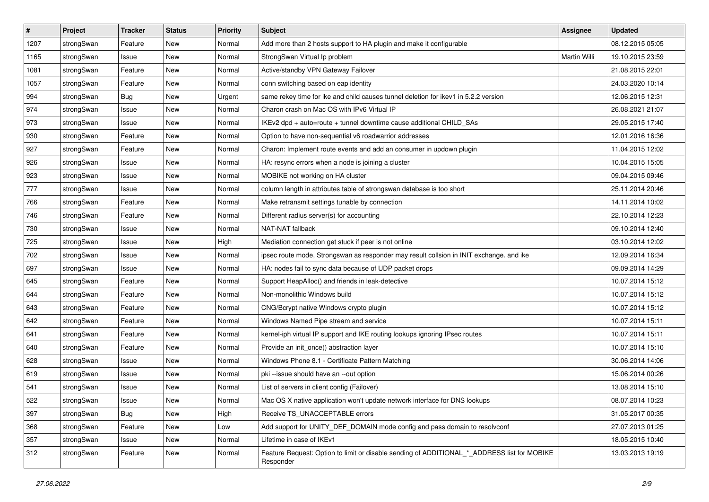| #    | Project    | <b>Tracker</b> | <b>Status</b> | <b>Priority</b> | <b>Subject</b>                                                                                            | <b>Assignee</b> | <b>Updated</b>   |
|------|------------|----------------|---------------|-----------------|-----------------------------------------------------------------------------------------------------------|-----------------|------------------|
| 1207 | strongSwan | Feature        | New           | Normal          | Add more than 2 hosts support to HA plugin and make it configurable                                       |                 | 08.12.2015 05:05 |
| 1165 | strongSwan | Issue          | <b>New</b>    | Normal          | StrongSwan Virtual Ip problem                                                                             | Martin Willi    | 19.10.2015 23:59 |
| 1081 | strongSwan | Feature        | New           | Normal          | Active/standby VPN Gateway Failover                                                                       |                 | 21.08.2015 22:01 |
| 1057 | strongSwan | Feature        | New           | Normal          | conn switching based on eap identity                                                                      |                 | 24.03.2020 10:14 |
| 994  | strongSwan | Bug            | <b>New</b>    | Urgent          | same rekey time for ike and child causes tunnel deletion for ikey1 in 5.2.2 version                       |                 | 12.06.2015 12:31 |
| 974  | strongSwan | Issue          | New           | Normal          | Charon crash on Mac OS with IPv6 Virtual IP                                                               |                 | 26.08.2021 21:07 |
| 973  | strongSwan | Issue          | New           | Normal          | IKEv2 dpd + auto=route + tunnel downtime cause additional CHILD_SAs                                       |                 | 29.05.2015 17:40 |
| 930  | strongSwan | Feature        | New           | Normal          | Option to have non-sequential v6 roadwarrior addresses                                                    |                 | 12.01.2016 16:36 |
| 927  | strongSwan | Feature        | New           | Normal          | Charon: Implement route events and add an consumer in updown plugin                                       |                 | 11.04.2015 12:02 |
| 926  | strongSwan | Issue          | <b>New</b>    | Normal          | HA: resync errors when a node is joining a cluster                                                        |                 | 10.04.2015 15:05 |
| 923  | strongSwan | Issue          | New           | Normal          | MOBIKE not working on HA cluster                                                                          |                 | 09.04.2015 09:46 |
| 777  | strongSwan | Issue          | New           | Normal          | column length in attributes table of strongswan database is too short                                     |                 | 25.11.2014 20:46 |
| 766  | strongSwan | Feature        | New           | Normal          | Make retransmit settings tunable by connection                                                            |                 | 14.11.2014 10:02 |
| 746  | strongSwan | Feature        | New           | Normal          | Different radius server(s) for accounting                                                                 |                 | 22.10.2014 12:23 |
| 730  | strongSwan | Issue          | <b>New</b>    | Normal          | NAT-NAT fallback                                                                                          |                 | 09.10.2014 12:40 |
| 725  | strongSwan | Issue          | New           | High            | Mediation connection get stuck if peer is not online                                                      |                 | 03.10.2014 12:02 |
| 702  | strongSwan | Issue          | New           | Normal          | ipsec route mode, Strongswan as responder may result collsion in INIT exchange. and ike                   |                 | 12.09.2014 16:34 |
| 697  | strongSwan | Issue          | <b>New</b>    | Normal          | HA: nodes fail to sync data because of UDP packet drops                                                   |                 | 09.09.2014 14:29 |
| 645  | strongSwan | Feature        | New           | Normal          | Support HeapAlloc() and friends in leak-detective                                                         |                 | 10.07.2014 15:12 |
| 644  | strongSwan | Feature        | New           | Normal          | Non-monolithic Windows build                                                                              |                 | 10.07.2014 15:12 |
| 643  | strongSwan | Feature        | New           | Normal          | CNG/Bcrypt native Windows crypto plugin                                                                   |                 | 10.07.2014 15:12 |
| 642  | strongSwan | Feature        | New           | Normal          | Windows Named Pipe stream and service                                                                     |                 | 10.07.2014 15:11 |
| 641  | strongSwan | Feature        | <b>New</b>    | Normal          | kernel-iph virtual IP support and IKE routing lookups ignoring IPsec routes                               |                 | 10.07.2014 15:11 |
| 640  | strongSwan | Feature        | New           | Normal          | Provide an init_once() abstraction layer                                                                  |                 | 10.07.2014 15:10 |
| 628  | strongSwan | Issue          | New           | Normal          | Windows Phone 8.1 - Certificate Pattern Matching                                                          |                 | 30.06.2014 14:06 |
| 619  | strongSwan | Issue          | New           | Normal          | pki --issue should have an --out option                                                                   |                 | 15.06.2014 00:26 |
| 541  | strongSwan | Issue          | New           | Normal          | List of servers in client config (Failover)                                                               |                 | 13.08.2014 15:10 |
| 522  | strongSwan | Issue          | New           | Normal          | Mac OS X native application won't update network interface for DNS lookups                                |                 | 08.07.2014 10:23 |
| 397  | strongSwan | Bug            | New           | High            | Receive TS UNACCEPTABLE errors                                                                            |                 | 31.05.2017 00:35 |
| 368  | strongSwan | Feature        | New           | Low             | Add support for UNITY DEF DOMAIN mode config and pass domain to resolve onf                               |                 | 27.07.2013 01:25 |
| 357  | strongSwan | Issue          | New           | Normal          | Lifetime in case of IKEv1                                                                                 |                 | 18.05.2015 10:40 |
| 312  | strongSwan | Feature        | New           | Normal          | Feature Request: Option to limit or disable sending of ADDITIONAL *_ ADDRESS list for MOBIKE<br>Responder |                 | 13.03.2013 19:19 |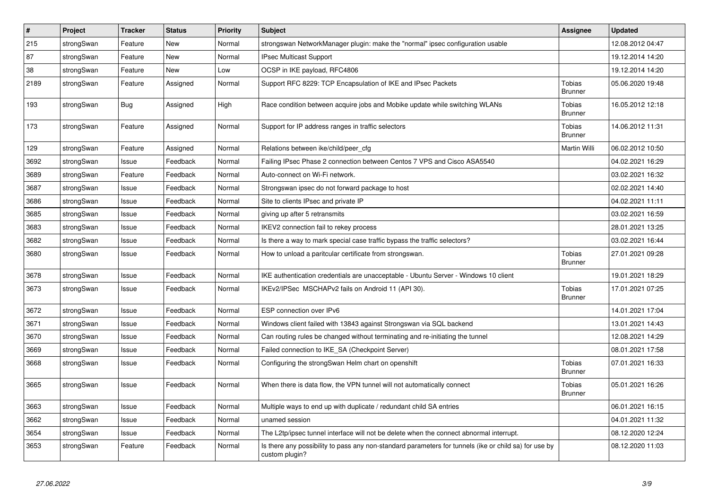| #    | Project    | <b>Tracker</b> | <b>Status</b> | Priority | <b>Subject</b>                                                                                                          | <b>Assignee</b>          | <b>Updated</b>   |
|------|------------|----------------|---------------|----------|-------------------------------------------------------------------------------------------------------------------------|--------------------------|------------------|
| 215  | strongSwan | Feature        | <b>New</b>    | Normal   | strongswan NetworkManager plugin: make the "normal" ipsec configuration usable                                          |                          | 12.08.2012 04:47 |
| 87   | strongSwan | Feature        | <b>New</b>    | Normal   | <b>IPsec Multicast Support</b>                                                                                          |                          | 19.12.2014 14:20 |
| 38   | strongSwan | Feature        | New           | Low      | OCSP in IKE payload, RFC4806                                                                                            |                          | 19.12.2014 14:20 |
| 2189 | strongSwan | Feature        | Assigned      | Normal   | Support RFC 8229: TCP Encapsulation of IKE and IPsec Packets                                                            | Tobias<br><b>Brunner</b> | 05.06.2020 19:48 |
| 193  | strongSwan | <b>Bug</b>     | Assigned      | High     | Race condition between acquire jobs and Mobike update while switching WLANs                                             | Tobias<br><b>Brunner</b> | 16.05.2012 12:18 |
| 173  | strongSwan | Feature        | Assigned      | Normal   | Support for IP address ranges in traffic selectors                                                                      | Tobias<br><b>Brunner</b> | 14.06.2012 11:31 |
| 129  | strongSwan | Feature        | Assigned      | Normal   | Relations between ike/child/peer_cfg                                                                                    | Martin Willi             | 06.02.2012 10:50 |
| 3692 | strongSwan | Issue          | Feedback      | Normal   | Failing IPsec Phase 2 connection between Centos 7 VPS and Cisco ASA5540                                                 |                          | 04.02.2021 16:29 |
| 3689 | strongSwan | Feature        | Feedback      | Normal   | Auto-connect on Wi-Fi network.                                                                                          |                          | 03.02.2021 16:32 |
| 3687 | strongSwan | Issue          | Feedback      | Normal   | Strongswan ipsec do not forward package to host                                                                         |                          | 02.02.2021 14:40 |
| 3686 | strongSwan | Issue          | Feedback      | Normal   | Site to clients IPsec and private IP                                                                                    |                          | 04.02.2021 11:11 |
| 3685 | strongSwan | Issue          | Feedback      | Normal   | giving up after 5 retransmits                                                                                           |                          | 03.02.2021 16:59 |
| 3683 | strongSwan | Issue          | Feedback      | Normal   | IKEV2 connection fail to rekey process                                                                                  |                          | 28.01.2021 13:25 |
| 3682 | strongSwan | Issue          | Feedback      | Normal   | Is there a way to mark special case traffic bypass the traffic selectors?                                               |                          | 03.02.2021 16:44 |
| 3680 | strongSwan | Issue          | Feedback      | Normal   | How to unload a paritcular certificate from strongswan.                                                                 | Tobias<br><b>Brunner</b> | 27.01.2021 09:28 |
| 3678 | strongSwan | Issue          | Feedback      | Normal   | IKE authentication credentials are unacceptable - Ubuntu Server - Windows 10 client                                     |                          | 19.01.2021 18:29 |
| 3673 | strongSwan | Issue          | Feedback      | Normal   | IKEv2/IPSec MSCHAPv2 fails on Android 11 (API 30).                                                                      | Tobias<br><b>Brunner</b> | 17.01.2021 07:25 |
| 3672 | strongSwan | Issue          | Feedback      | Normal   | ESP connection over IPv6                                                                                                |                          | 14.01.2021 17:04 |
| 3671 | strongSwan | Issue          | Feedback      | Normal   | Windows client failed with 13843 against Strongswan via SQL backend                                                     |                          | 13.01.2021 14:43 |
| 3670 | strongSwan | Issue          | Feedback      | Normal   | Can routing rules be changed without terminating and re-initiating the tunnel                                           |                          | 12.08.2021 14:29 |
| 3669 | strongSwan | Issue          | Feedback      | Normal   | Failed connection to IKE SA (Checkpoint Server)                                                                         |                          | 08.01.2021 17:58 |
| 3668 | strongSwan | Issue          | Feedback      | Normal   | Configuring the strongSwan Helm chart on openshift                                                                      | Tobias<br><b>Brunner</b> | 07.01.2021 16:33 |
| 3665 | strongSwan | Issue          | Feedback      | Normal   | When there is data flow, the VPN tunnel will not automatically connect                                                  | Tobias<br><b>Brunner</b> | 05.01.2021 16:26 |
| 3663 | strongSwan | Issue          | Feedback      | Normal   | Multiple ways to end up with duplicate / redundant child SA entries                                                     |                          | 06.01.2021 16:15 |
| 3662 | strongSwan | Issue          | Feedback      | Normal   | unamed session                                                                                                          |                          | 04.01.2021 11:32 |
| 3654 | strongSwan | Issue          | Feedback      | Normal   | The L2tp/ipsec tunnel interface will not be delete when the connect abnormal interrupt.                                 |                          | 08.12.2020 12:24 |
| 3653 | strongSwan | Feature        | Feedback      | Normal   | Is there any possibility to pass any non-standard parameters for tunnels (ike or child sa) for use by<br>custom plugin? |                          | 08.12.2020 11:03 |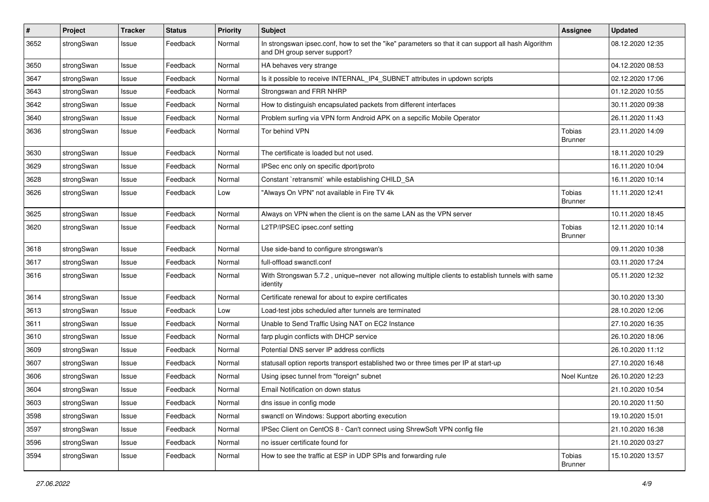| $\pmb{\#}$ | Project    | <b>Tracker</b> | <b>Status</b> | <b>Priority</b> | <b>Subject</b>                                                                                                                      | Assignee                        | <b>Updated</b>   |
|------------|------------|----------------|---------------|-----------------|-------------------------------------------------------------------------------------------------------------------------------------|---------------------------------|------------------|
| 3652       | strongSwan | Issue          | Feedback      | Normal          | In strongswan ipsec.conf, how to set the "ike" parameters so that it can support all hash Algorithm<br>and DH group server support? |                                 | 08.12.2020 12:35 |
| 3650       | strongSwan | Issue          | Feedback      | Normal          | HA behaves very strange                                                                                                             |                                 | 04.12.2020 08:53 |
| 3647       | strongSwan | Issue          | Feedback      | Normal          | Is it possible to receive INTERNAL_IP4_SUBNET attributes in updown scripts                                                          |                                 | 02.12.2020 17:06 |
| 3643       | strongSwan | Issue          | Feedback      | Normal          | Strongswan and FRR NHRP                                                                                                             |                                 | 01.12.2020 10:55 |
| 3642       | strongSwan | Issue          | Feedback      | Normal          | How to distinguish encapsulated packets from different interfaces                                                                   |                                 | 30.11.2020 09:38 |
| 3640       | strongSwan | Issue          | Feedback      | Normal          | Problem surfing via VPN form Android APK on a sepcific Mobile Operator                                                              |                                 | 26.11.2020 11:43 |
| 3636       | strongSwan | Issue          | Feedback      | Normal          | Tor behind VPN                                                                                                                      | Tobias<br><b>Brunner</b>        | 23.11.2020 14:09 |
| 3630       | strongSwan | Issue          | Feedback      | Normal          | The certificate is loaded but not used.                                                                                             |                                 | 18.11.2020 10:29 |
| 3629       | strongSwan | Issue          | Feedback      | Normal          | IPSec enc only on specific dport/proto                                                                                              |                                 | 16.11.2020 10:04 |
| 3628       | strongSwan | Issue          | Feedback      | Normal          | Constant `retransmit` while establishing CHILD_SA                                                                                   |                                 | 16.11.2020 10:14 |
| 3626       | strongSwan | Issue          | Feedback      | Low             | "Always On VPN" not available in Fire TV 4k                                                                                         | Tobias<br><b>Brunner</b>        | 11.11.2020 12:41 |
| 3625       | strongSwan | Issue          | Feedback      | Normal          | Always on VPN when the client is on the same LAN as the VPN server                                                                  |                                 | 10.11.2020 18:45 |
| 3620       | strongSwan | Issue          | Feedback      | Normal          | L2TP/IPSEC ipsec.conf setting                                                                                                       | Tobias<br><b>Brunner</b>        | 12.11.2020 10:14 |
| 3618       | strongSwan | Issue          | Feedback      | Normal          | Use side-band to configure strongswan's                                                                                             |                                 | 09.11.2020 10:38 |
| 3617       | strongSwan | Issue          | Feedback      | Normal          | full-offload swanctl.conf                                                                                                           |                                 | 03.11.2020 17:24 |
| 3616       | strongSwan | Issue          | Feedback      | Normal          | With Strongswan 5.7.2, unique=never not allowing multiple clients to establish tunnels with same<br>identity                        |                                 | 05.11.2020 12:32 |
| 3614       | strongSwan | Issue          | Feedback      | Normal          | Certificate renewal for about to expire certificates                                                                                |                                 | 30.10.2020 13:30 |
| 3613       | strongSwan | Issue          | Feedback      | Low             | Load-test jobs scheduled after tunnels are terminated                                                                               |                                 | 28.10.2020 12:06 |
| 3611       | strongSwan | Issue          | Feedback      | Normal          | Unable to Send Traffic Using NAT on EC2 Instance                                                                                    |                                 | 27.10.2020 16:35 |
| 3610       | strongSwan | Issue          | Feedback      | Normal          | farp plugin conflicts with DHCP service                                                                                             |                                 | 26.10.2020 18:06 |
| 3609       | strongSwan | Issue          | Feedback      | Normal          | Potential DNS server IP address conflicts                                                                                           |                                 | 26.10.2020 11:12 |
| 3607       | strongSwan | Issue          | Feedback      | Normal          | statusall option reports transport established two or three times per IP at start-up                                                |                                 | 27.10.2020 16:48 |
| 3606       | strongSwan | Issue          | Feedback      | Normal          | Using ipsec tunnel from "foreign" subnet                                                                                            | <b>Noel Kuntze</b>              | 26.10.2020 12:23 |
| 3604       | strongSwan | Issue          | Feedback      | Normal          | Email Notification on down status                                                                                                   |                                 | 21.10.2020 10:54 |
| 3603       | strongSwan | Issue          | Feedback      | Normal          | dns issue in config mode                                                                                                            |                                 | 20.10.2020 11:50 |
| 3598       | strongSwan | Issue          | Feedback      | Normal          | swanctl on Windows: Support aborting execution                                                                                      |                                 | 19.10.2020 15:01 |
| 3597       | strongSwan | Issue          | Feedback      | Normal          | IPSec Client on CentOS 8 - Can't connect using ShrewSoft VPN config file                                                            |                                 | 21.10.2020 16:38 |
| 3596       | strongSwan | Issue          | Feedback      | Normal          | no issuer certificate found for                                                                                                     |                                 | 21.10.2020 03:27 |
| 3594       | strongSwan | Issue          | Feedback      | Normal          | How to see the traffic at ESP in UDP SPIs and forwarding rule                                                                       | <b>Tobias</b><br><b>Brunner</b> | 15.10.2020 13:57 |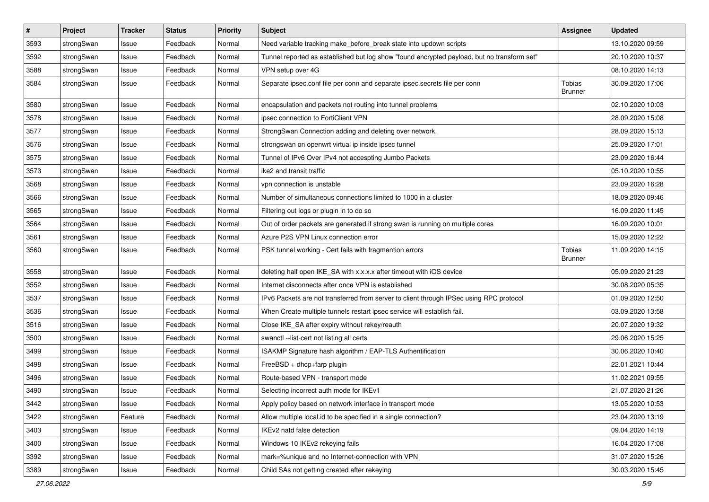| $\pmb{\#}$ | Project    | <b>Tracker</b> | <b>Status</b> | <b>Priority</b> | <b>Subject</b>                                                                              | <b>Assignee</b>          | <b>Updated</b>   |
|------------|------------|----------------|---------------|-----------------|---------------------------------------------------------------------------------------------|--------------------------|------------------|
| 3593       | strongSwan | Issue          | Feedback      | Normal          | Need variable tracking make_before_break state into updown scripts                          |                          | 13.10.2020 09:59 |
| 3592       | strongSwan | Issue          | Feedback      | Normal          | Tunnel reported as established but log show "found encrypted payload, but no transform set" |                          | 20.10.2020 10:37 |
| 3588       | strongSwan | Issue          | Feedback      | Normal          | VPN setup over 4G                                                                           |                          | 08.10.2020 14:13 |
| 3584       | strongSwan | Issue          | Feedback      | Normal          | Separate ipsec.conf file per conn and separate ipsec.secrets file per conn                  | Tobias<br><b>Brunner</b> | 30.09.2020 17:06 |
| 3580       | strongSwan | Issue          | Feedback      | Normal          | encapsulation and packets not routing into tunnel problems                                  |                          | 02.10.2020 10:03 |
| 3578       | strongSwan | Issue          | Feedback      | Normal          | ipsec connection to FortiClient VPN                                                         |                          | 28.09.2020 15:08 |
| 3577       | strongSwan | Issue          | Feedback      | Normal          | StrongSwan Connection adding and deleting over network.                                     |                          | 28.09.2020 15:13 |
| 3576       | strongSwan | Issue          | Feedback      | Normal          | strongswan on openwrt virtual ip inside ipsec tunnel                                        |                          | 25.09.2020 17:01 |
| 3575       | strongSwan | Issue          | Feedback      | Normal          | Tunnel of IPv6 Over IPv4 not accespting Jumbo Packets                                       |                          | 23.09.2020 16:44 |
| 3573       | strongSwan | Issue          | Feedback      | Normal          | ike2 and transit traffic                                                                    |                          | 05.10.2020 10:55 |
| 3568       | strongSwan | Issue          | Feedback      | Normal          | vpn connection is unstable                                                                  |                          | 23.09.2020 16:28 |
| 3566       | strongSwan | Issue          | Feedback      | Normal          | Number of simultaneous connections limited to 1000 in a cluster                             |                          | 18.09.2020 09:46 |
| 3565       | strongSwan | Issue          | Feedback      | Normal          | Filtering out logs or plugin in to do so                                                    |                          | 16.09.2020 11:45 |
| 3564       | strongSwan | Issue          | Feedback      | Normal          | Out of order packets are generated if strong swan is running on multiple cores              |                          | 16.09.2020 10:01 |
| 3561       | strongSwan | Issue          | Feedback      | Normal          | Azure P2S VPN Linux connection error                                                        |                          | 15.09.2020 12:22 |
| 3560       | strongSwan | Issue          | Feedback      | Normal          | PSK tunnel working - Cert fails with fragmention errors                                     | Tobias<br><b>Brunner</b> | 11.09.2020 14:15 |
| 3558       | strongSwan | Issue          | Feedback      | Normal          | deleting half open IKE_SA with x.x.x.x after timeout with iOS device                        |                          | 05.09.2020 21:23 |
| 3552       | strongSwan | Issue          | Feedback      | Normal          | Internet disconnects after once VPN is established                                          |                          | 30.08.2020 05:35 |
| 3537       | strongSwan | Issue          | Feedback      | Normal          | IPv6 Packets are not transferred from server to client through IPSec using RPC protocol     |                          | 01.09.2020 12:50 |
| 3536       | strongSwan | Issue          | Feedback      | Normal          | When Create multiple tunnels restart ipsec service will establish fail.                     |                          | 03.09.2020 13:58 |
| 3516       | strongSwan | Issue          | Feedback      | Normal          | Close IKE_SA after expiry without rekey/reauth                                              |                          | 20.07.2020 19:32 |
| 3500       | strongSwan | Issue          | Feedback      | Normal          | swanctl --list-cert not listing all certs                                                   |                          | 29.06.2020 15:25 |
| 3499       | strongSwan | Issue          | Feedback      | Normal          | ISAKMP Signature hash algorithm / EAP-TLS Authentification                                  |                          | 30.06.2020 10:40 |
| 3498       | strongSwan | Issue          | Feedback      | Normal          | FreeBSD + dhcp+farp plugin                                                                  |                          | 22.01.2021 10:44 |
| 3496       | strongSwan | Issue          | Feedback      | Normal          | Route-based VPN - transport mode                                                            |                          | 11.02.2021 09:55 |
| 3490       | strongSwan | Issue          | Feedback      | Normal          | Selecting incorrect auth mode for IKEv1                                                     |                          | 21.07.2020 21:26 |
| 3442       | strongSwan | Issue          | Feedback      | Normal          | Apply policy based on network interface in transport mode                                   |                          | 13.05.2020 10:53 |
| 3422       | strongSwan | Feature        | Feedback      | Normal          | Allow multiple local.id to be specified in a single connection?                             |                          | 23.04.2020 13:19 |
| 3403       | strongSwan | Issue          | Feedback      | Normal          | IKEv2 natd false detection                                                                  |                          | 09.04.2020 14:19 |
| 3400       | strongSwan | Issue          | Feedback      | Normal          | Windows 10 IKEv2 rekeying fails                                                             |                          | 16.04.2020 17:08 |
| 3392       | strongSwan | Issue          | Feedback      | Normal          | mark=%unique and no Internet-connection with VPN                                            |                          | 31.07.2020 15:26 |
| 3389       | strongSwan | Issue          | Feedback      | Normal          | Child SAs not getting created after rekeying                                                |                          | 30.03.2020 15:45 |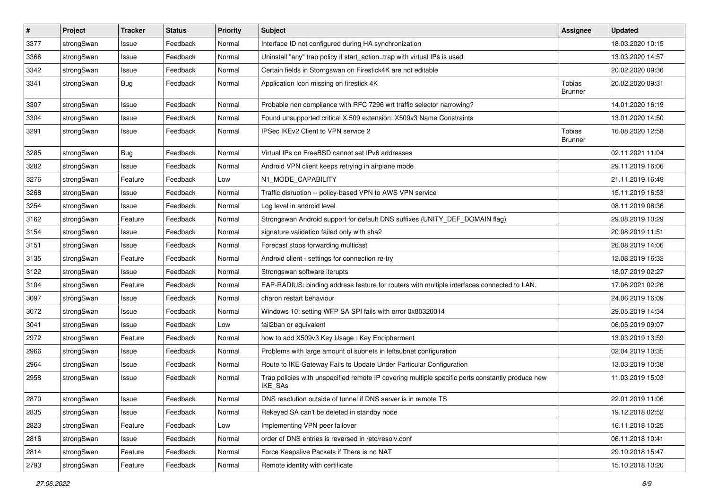| $\pmb{\#}$ | Project    | <b>Tracker</b> | <b>Status</b> | <b>Priority</b> | <b>Subject</b>                                                                                              | <b>Assignee</b>          | <b>Updated</b>   |
|------------|------------|----------------|---------------|-----------------|-------------------------------------------------------------------------------------------------------------|--------------------------|------------------|
| 3377       | strongSwan | Issue          | Feedback      | Normal          | Interface ID not configured during HA synchronization                                                       |                          | 18.03.2020 10:15 |
| 3366       | strongSwan | Issue          | Feedback      | Normal          | Uninstall "any" trap policy if start_action=trap with virtual IPs is used                                   |                          | 13.03.2020 14:57 |
| 3342       | strongSwan | Issue          | Feedback      | Normal          | Certain fields in Storngswan on Firestick4K are not editable                                                |                          | 20.02.2020 09:36 |
| 3341       | strongSwan | <b>Bug</b>     | Feedback      | Normal          | Application Icon missing on firestick 4K                                                                    | Tobias<br><b>Brunner</b> | 20.02.2020 09:31 |
| 3307       | strongSwan | Issue          | Feedback      | Normal          | Probable non compliance with RFC 7296 wrt traffic selector narrowing?                                       |                          | 14.01.2020 16:19 |
| 3304       | strongSwan | Issue          | Feedback      | Normal          | Found unsupported critical X.509 extension: X509v3 Name Constraints                                         |                          | 13.01.2020 14:50 |
| 3291       | strongSwan | Issue          | Feedback      | Normal          | IPSec IKEv2 Client to VPN service 2                                                                         | Tobias<br><b>Brunner</b> | 16.08.2020 12:58 |
| 3285       | strongSwan | <b>Bug</b>     | Feedback      | Normal          | Virtual IPs on FreeBSD cannot set IPv6 addresses                                                            |                          | 02.11.2021 11:04 |
| 3282       | strongSwan | Issue          | Feedback      | Normal          | Android VPN client keeps retrying in airplane mode                                                          |                          | 29.11.2019 16:06 |
| 3276       | strongSwan | Feature        | Feedback      | Low             | N1_MODE_CAPABILITY                                                                                          |                          | 21.11.2019 16:49 |
| 3268       | strongSwan | Issue          | Feedback      | Normal          | Traffic disruption -- policy-based VPN to AWS VPN service                                                   |                          | 15.11.2019 16:53 |
| 3254       | strongSwan | Issue          | Feedback      | Normal          | Log level in android level                                                                                  |                          | 08.11.2019 08:36 |
| 3162       | strongSwan | Feature        | Feedback      | Normal          | Strongswan Android support for default DNS suffixes (UNITY_DEF_DOMAIN flag)                                 |                          | 29.08.2019 10:29 |
| 3154       | strongSwan | Issue          | Feedback      | Normal          | signature validation failed only with sha2                                                                  |                          | 20.08.2019 11:51 |
| 3151       | strongSwan | Issue          | Feedback      | Normal          | Forecast stops forwarding multicast                                                                         |                          | 26.08.2019 14:06 |
| 3135       | strongSwan | Feature        | Feedback      | Normal          | Android client - settings for connection re-try                                                             |                          | 12.08.2019 16:32 |
| 3122       | strongSwan | Issue          | Feedback      | Normal          | Strongswan software iterupts                                                                                |                          | 18.07.2019 02:27 |
| 3104       | strongSwan | Feature        | Feedback      | Normal          | EAP-RADIUS: binding address feature for routers with multiple interfaces connected to LAN.                  |                          | 17.06.2021 02:26 |
| 3097       | strongSwan | Issue          | Feedback      | Normal          | charon restart behaviour                                                                                    |                          | 24.06.2019 16:09 |
| 3072       | strongSwan | Issue          | Feedback      | Normal          | Windows 10: setting WFP SA SPI fails with error 0x80320014                                                  |                          | 29.05.2019 14:34 |
| 3041       | strongSwan | Issue          | Feedback      | Low             | fail2ban or equivalent                                                                                      |                          | 06.05.2019 09:07 |
| 2972       | strongSwan | Feature        | Feedback      | Normal          | how to add X509v3 Key Usage: Key Encipherment                                                               |                          | 13.03.2019 13:59 |
| 2966       | strongSwan | Issue          | Feedback      | Normal          | Problems with large amount of subnets in leftsubnet configuration                                           |                          | 02.04.2019 10:35 |
| 2964       | strongSwan | Issue          | Feedback      | Normal          | Route to IKE Gateway Fails to Update Under Particular Configuration                                         |                          | 13.03.2019 10:38 |
| 2958       | strongSwan | Issue          | Feedback      | Normal          | Trap policies with unspecified remote IP covering multiple specific ports constantly produce new<br>IKE_SAs |                          | 11.03.2019 15:03 |
| 2870       | strongSwan | Issue          | Feedback      | Normal          | DNS resolution outside of tunnel if DNS server is in remote TS                                              |                          | 22.01.2019 11:06 |
| 2835       | strongSwan | Issue          | Feedback      | Normal          | Rekeyed SA can't be deleted in standby node                                                                 |                          | 19.12.2018 02:52 |
| 2823       | strongSwan | Feature        | Feedback      | Low             | Implementing VPN peer failover                                                                              |                          | 16.11.2018 10:25 |
| 2816       | strongSwan | Issue          | Feedback      | Normal          | order of DNS entries is reversed in /etc/resolv.conf                                                        |                          | 06.11.2018 10:41 |
| 2814       | strongSwan | Feature        | Feedback      | Normal          | Force Keepalive Packets if There is no NAT                                                                  |                          | 29.10.2018 15:47 |
| 2793       | strongSwan | Feature        | Feedback      | Normal          | Remote identity with certificate                                                                            |                          | 15.10.2018 10:20 |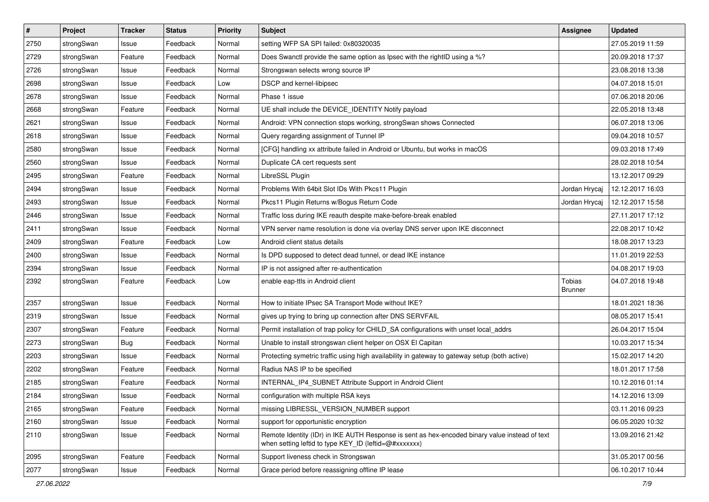| $\pmb{\#}$ | Project    | <b>Tracker</b> | <b>Status</b> | <b>Priority</b> | Subject                                                                                                                                                 | <b>Assignee</b>          | <b>Updated</b>   |
|------------|------------|----------------|---------------|-----------------|---------------------------------------------------------------------------------------------------------------------------------------------------------|--------------------------|------------------|
| 2750       | strongSwan | Issue          | Feedback      | Normal          | setting WFP SA SPI failed: 0x80320035                                                                                                                   |                          | 27.05.2019 11:59 |
| 2729       | strongSwan | Feature        | Feedback      | Normal          | Does Swanctl provide the same option as Ipsec with the rightID using a %?                                                                               |                          | 20.09.2018 17:37 |
| 2726       | strongSwan | Issue          | Feedback      | Normal          | Strongswan selects wrong source IP                                                                                                                      |                          | 23.08.2018 13:38 |
| 2698       | strongSwan | Issue          | Feedback      | Low             | DSCP and kernel-libipsec                                                                                                                                |                          | 04.07.2018 15:01 |
| 2678       | strongSwan | Issue          | Feedback      | Normal          | Phase 1 issue                                                                                                                                           |                          | 07.06.2018 20:06 |
| 2668       | strongSwan | Feature        | Feedback      | Normal          | UE shall include the DEVICE_IDENTITY Notify payload                                                                                                     |                          | 22.05.2018 13:48 |
| 2621       | strongSwan | Issue          | Feedback      | Normal          | Android: VPN connection stops working, strongSwan shows Connected                                                                                       |                          | 06.07.2018 13:06 |
| 2618       | strongSwan | Issue          | Feedback      | Normal          | Query regarding assignment of Tunnel IP                                                                                                                 |                          | 09.04.2018 10:57 |
| 2580       | strongSwan | Issue          | Feedback      | Normal          | [CFG] handling xx attribute failed in Android or Ubuntu, but works in macOS                                                                             |                          | 09.03.2018 17:49 |
| 2560       | strongSwan | Issue          | Feedback      | Normal          | Duplicate CA cert requests sent                                                                                                                         |                          | 28.02.2018 10:54 |
| 2495       | strongSwan | Feature        | Feedback      | Normal          | LibreSSL Plugin                                                                                                                                         |                          | 13.12.2017 09:29 |
| 2494       | strongSwan | Issue          | Feedback      | Normal          | Problems With 64bit Slot IDs With Pkcs11 Plugin                                                                                                         | Jordan Hrycaj            | 12.12.2017 16:03 |
| 2493       | strongSwan | Issue          | Feedback      | Normal          | Pkcs11 Plugin Returns w/Bogus Return Code                                                                                                               | Jordan Hrycaj            | 12.12.2017 15:58 |
| 2446       | strongSwan | Issue          | Feedback      | Normal          | Traffic loss during IKE reauth despite make-before-break enabled                                                                                        |                          | 27.11.2017 17:12 |
| 2411       | strongSwan | Issue          | Feedback      | Normal          | VPN server name resolution is done via overlay DNS server upon IKE disconnect                                                                           |                          | 22.08.2017 10:42 |
| 2409       | strongSwan | Feature        | Feedback      | Low             | Android client status details                                                                                                                           |                          | 18.08.2017 13:23 |
| 2400       | strongSwan | Issue          | Feedback      | Normal          | Is DPD supposed to detect dead tunnel, or dead IKE instance                                                                                             |                          | 11.01.2019 22:53 |
| 2394       | strongSwan | Issue          | Feedback      | Normal          | IP is not assigned after re-authentication                                                                                                              |                          | 04.08.2017 19:03 |
| 2392       | strongSwan | Feature        | Feedback      | Low             | enable eap-ttls in Android client                                                                                                                       | <b>Tobias</b><br>Brunner | 04.07.2018 19:48 |
| 2357       | strongSwan | Issue          | Feedback      | Normal          | How to initiate IPsec SA Transport Mode without IKE?                                                                                                    |                          | 18.01.2021 18:36 |
| 2319       | strongSwan | Issue          | Feedback      | Normal          | gives up trying to bring up connection after DNS SERVFAIL                                                                                               |                          | 08.05.2017 15:41 |
| 2307       | strongSwan | Feature        | Feedback      | Normal          | Permit installation of trap policy for CHILD_SA configurations with unset local_addrs                                                                   |                          | 26.04.2017 15:04 |
| 2273       | strongSwan | <b>Bug</b>     | Feedback      | Normal          | Unable to install strongswan client helper on OSX El Capitan                                                                                            |                          | 10.03.2017 15:34 |
| 2203       | strongSwan | Issue          | Feedback      | Normal          | Protecting symetric traffic using high availability in gateway to gateway setup (both active)                                                           |                          | 15.02.2017 14:20 |
| 2202       | strongSwan | Feature        | Feedback      | Normal          | Radius NAS IP to be specified                                                                                                                           |                          | 18.01.2017 17:58 |
| 2185       | strongSwan | Feature        | Feedback      | Normal          | INTERNAL_IP4_SUBNET Attribute Support in Android Client                                                                                                 |                          | 10.12.2016 01:14 |
| 2184       | strongSwan | Issue          | Feedback      | Normal          | configuration with multiple RSA keys                                                                                                                    |                          | 14.12.2016 13:09 |
| 2165       | strongSwan | Feature        | Feedback      | Normal          | missing LIBRESSL_VERSION_NUMBER support                                                                                                                 |                          | 03.11.2016 09:23 |
| 2160       | strongSwan | Issue          | Feedback      | Normal          | support for opportunistic encryption                                                                                                                    |                          | 06.05.2020 10:32 |
| 2110       | strongSwan | Issue          | Feedback      | Normal          | Remote Identity (IDr) in IKE AUTH Response is sent as hex-encoded binary value instead of text<br>when setting leftid to type KEY_ID (leftid=@#xxxxxxx) |                          | 13.09.2016 21:42 |
| 2095       | strongSwan | Feature        | Feedback      | Normal          | Support liveness check in Strongswan                                                                                                                    |                          | 31.05.2017 00:56 |
| 2077       | strongSwan | Issue          | Feedback      | Normal          | Grace period before reassigning offline IP lease                                                                                                        |                          | 06.10.2017 10:44 |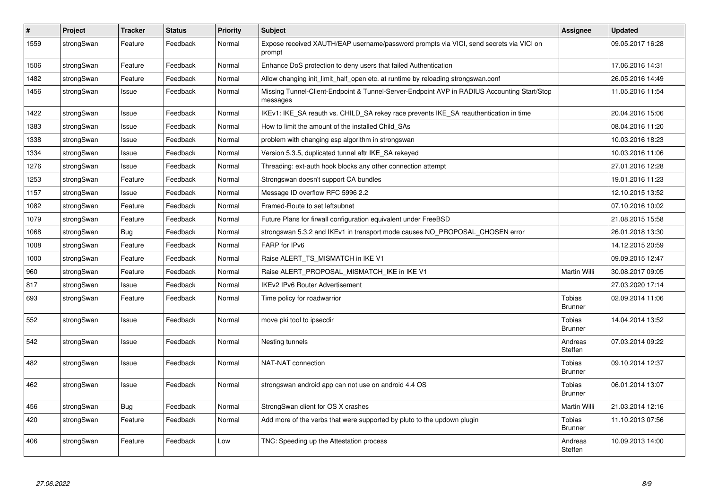| $\#$ | Project    | <b>Tracker</b> | <b>Status</b> | Priority | <b>Subject</b>                                                                                          | Assignee                        | <b>Updated</b>   |
|------|------------|----------------|---------------|----------|---------------------------------------------------------------------------------------------------------|---------------------------------|------------------|
| 1559 | strongSwan | Feature        | Feedback      | Normal   | Expose received XAUTH/EAP username/password prompts via VICI, send secrets via VICI on<br>prompt        |                                 | 09.05.2017 16:28 |
| 1506 | strongSwan | Feature        | Feedback      | Normal   | Enhance DoS protection to deny users that failed Authentication                                         |                                 | 17.06.2016 14:31 |
| 1482 | strongSwan | Feature        | Feedback      | Normal   | Allow changing init_limit_half_open etc. at runtime by reloading strongswan.conf                        |                                 | 26.05.2016 14:49 |
| 1456 | strongSwan | Issue          | Feedback      | Normal   | Missing Tunnel-Client-Endpoint & Tunnel-Server-Endpoint AVP in RADIUS Accounting Start/Stop<br>messages |                                 | 11.05.2016 11:54 |
| 1422 | strongSwan | Issue          | Feedback      | Normal   | IKEv1: IKE_SA reauth vs. CHILD_SA rekey race prevents IKE_SA reauthentication in time                   |                                 | 20.04.2016 15:06 |
| 1383 | strongSwan | Issue          | Feedback      | Normal   | How to limit the amount of the installed Child_SAs                                                      |                                 | 08.04.2016 11:20 |
| 1338 | strongSwan | Issue          | Feedback      | Normal   | problem with changing esp algorithm in strongswan                                                       |                                 | 10.03.2016 18:23 |
| 1334 | strongSwan | Issue          | Feedback      | Normal   | Version 5.3.5, duplicated tunnel aftr IKE SA rekeyed                                                    |                                 | 10.03.2016 11:06 |
| 1276 | strongSwan | Issue          | Feedback      | Normal   | Threading: ext-auth hook blocks any other connection attempt                                            |                                 | 27.01.2016 12:28 |
| 1253 | strongSwan | Feature        | Feedback      | Normal   | Strongswan doesn't support CA bundles                                                                   |                                 | 19.01.2016 11:23 |
| 1157 | strongSwan | Issue          | Feedback      | Normal   | Message ID overflow RFC 5996 2.2                                                                        |                                 | 12.10.2015 13:52 |
| 1082 | strongSwan | Feature        | Feedback      | Normal   | Framed-Route to set leftsubnet                                                                          |                                 | 07.10.2016 10:02 |
| 1079 | strongSwan | Feature        | Feedback      | Normal   | Future Plans for firwall configuration equivalent under FreeBSD                                         |                                 | 21.08.2015 15:58 |
| 1068 | strongSwan | Bug            | Feedback      | Normal   | strongswan 5.3.2 and IKEv1 in transport mode causes NO_PROPOSAL_CHOSEN error                            |                                 | 26.01.2018 13:30 |
| 1008 | strongSwan | Feature        | Feedback      | Normal   | FARP for IPv6                                                                                           |                                 | 14.12.2015 20:59 |
| 1000 | strongSwan | Feature        | Feedback      | Normal   | Raise ALERT_TS_MISMATCH in IKE V1                                                                       |                                 | 09.09.2015 12:47 |
| 960  | strongSwan | Feature        | Feedback      | Normal   | Raise ALERT_PROPOSAL_MISMATCH_IKE in IKE V1                                                             | Martin Willi                    | 30.08.2017 09:05 |
| 817  | strongSwan | Issue          | Feedback      | Normal   | <b>IKEv2 IPv6 Router Advertisement</b>                                                                  |                                 | 27.03.2020 17:14 |
| 693  | strongSwan | Feature        | Feedback      | Normal   | Time policy for roadwarrior                                                                             | Tobias<br><b>Brunner</b>        | 02.09.2014 11:06 |
| 552  | strongSwan | Issue          | Feedback      | Normal   | move pki tool to ipsecdir                                                                               | <b>Tobias</b><br><b>Brunner</b> | 14.04.2014 13:52 |
| 542  | strongSwan | Issue          | Feedback      | Normal   | Nesting tunnels                                                                                         | Andreas<br>Steffen              | 07.03.2014 09:22 |
| 482  | strongSwan | Issue          | Feedback      | Normal   | NAT-NAT connection                                                                                      | <b>Tobias</b><br><b>Brunner</b> | 09.10.2014 12:37 |
| 462  | strongSwan | Issue          | Feedback      | Normal   | strongswan android app can not use on android 4.4 OS                                                    | Tobias<br><b>Brunner</b>        | 06.01.2014 13:07 |
| 456  | strongSwan | <b>Bug</b>     | Feedback      | Normal   | StrongSwan client for OS X crashes                                                                      | Martin Willi                    | 21.03.2014 12:16 |
| 420  | strongSwan | Feature        | Feedback      | Normal   | Add more of the verbs that were supported by pluto to the updown plugin                                 | Tobias<br><b>Brunner</b>        | 11.10.2013 07:56 |
| 406  | strongSwan | Feature        | Feedback      | Low      | TNC: Speeding up the Attestation process                                                                | Andreas<br>Steffen              | 10.09.2013 14:00 |